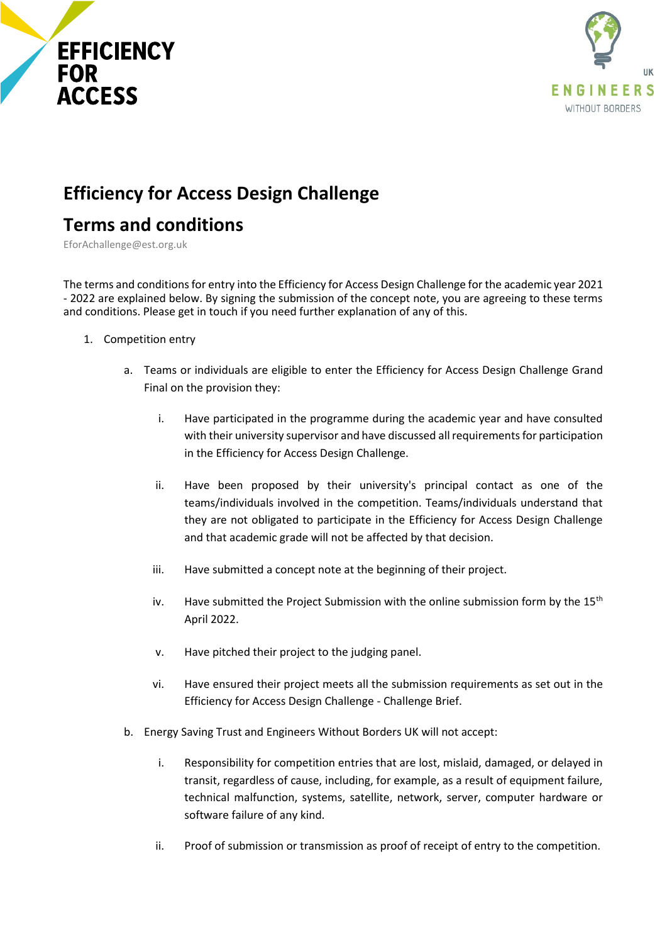



## **Efficiency for Access Design Challenge**

## **Terms and conditions**

EforAchallenge@est.org.uk

The terms and conditions for entry into the Efficiency for Access Design Challenge for the academic year 2021 - 2022 are explained below. By signing the submission of the concept note, you are agreeing to these terms and conditions. Please get in touch if you need further explanation of any of this.

- 1. Competition entry
	- a. Teams or individuals are eligible to enter the Efficiency for Access Design Challenge Grand Final on the provision they:
		- i. Have participated in the programme during the academic year and have consulted with their university supervisor and have discussed all requirements for participation in the Efficiency for Access Design Challenge.
		- ii. Have been proposed by their university's principal contact as one of the teams/individuals involved in the competition. Teams/individuals understand that they are not obligated to participate in the Efficiency for Access Design Challenge and that academic grade will not be affected by that decision.
		- iii. Have submitted a concept note at the beginning of their project.
		- iv. Have submitted the Project Submission with the online submission form by the  $15<sup>th</sup>$ April 2022.
		- v. Have pitched their project to the judging panel.
		- vi. Have ensured their project meets all the submission requirements as set out in the Efficiency for Access Design Challenge - Challenge Brief.
	- b. Energy Saving Trust and Engineers Without Borders UK will not accept:
		- i. Responsibility for competition entries that are lost, mislaid, damaged, or delayed in transit, regardless of cause, including, for example, as a result of equipment failure, technical malfunction, systems, satellite, network, server, computer hardware or software failure of any kind.
		- ii. Proof of submission or transmission as proof of receipt of entry to the competition.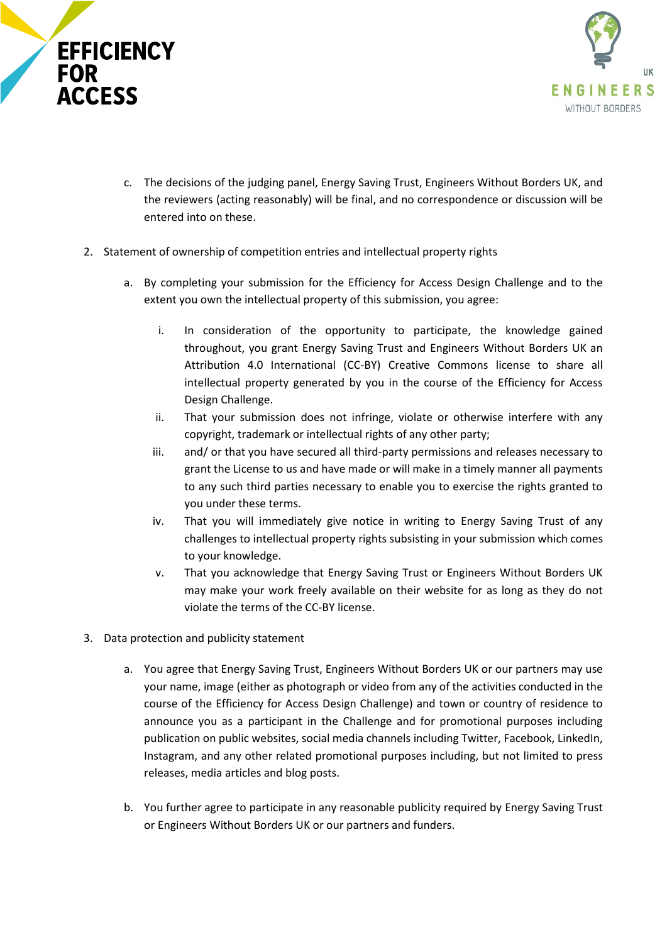



- c. The decisions of the judging panel, Energy Saving Trust, Engineers Without Borders UK, and the reviewers (acting reasonably) will be final, and no correspondence or discussion will be entered into on these.
- 2. Statement of ownership of competition entries and intellectual property rights
	- a. By completing your submission for the Efficiency for Access Design Challenge and to the extent you own the intellectual property of this submission, you agree:
		- i. In consideration of the opportunity to participate, the knowledge gained throughout, you grant Energy Saving Trust and Engineers Without Borders UK an Attribution 4.0 International (CC-BY) Creative Commons license to share all intellectual property generated by you in the course of the Efficiency for Access Design Challenge.
		- ii. That your submission does not infringe, violate or otherwise interfere with any copyright, trademark or intellectual rights of any other party;
		- iii. and/ or that you have secured all third-party permissions and releases necessary to grant the License to us and have made or will make in a timely manner all payments to any such third parties necessary to enable you to exercise the rights granted to you under these terms.
		- iv. That you will immediately give notice in writing to Energy Saving Trust of any challenges to intellectual property rights subsisting in your submission which comes to your knowledge.
		- v. That you acknowledge that Energy Saving Trust or Engineers Without Borders UK may make your work freely available on their website for as long as they do not violate the terms of the CC-BY license.
- 3. Data protection and publicity statement
	- a. You agree that Energy Saving Trust, Engineers Without Borders UK or our partners may use your name, image (either as photograph or video from any of the activities conducted in the course of the Efficiency for Access Design Challenge) and town or country of residence to announce you as a participant in the Challenge and for promotional purposes including publication on public websites, social media channels including Twitter, Facebook, LinkedIn, Instagram, and any other related promotional purposes including, but not limited to press releases, media articles and blog posts.
	- b. You further agree to participate in any reasonable publicity required by Energy Saving Trust or Engineers Without Borders UK or our partners and funders.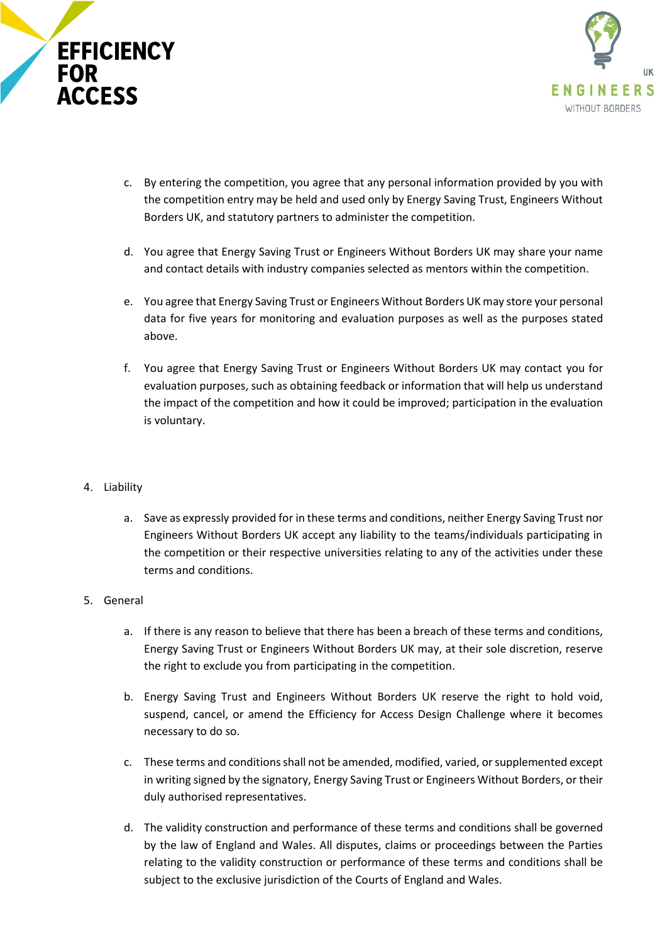



- c. By entering the competition, you agree that any personal information provided by you with the competition entry may be held and used only by Energy Saving Trust, Engineers Without Borders UK, and statutory partners to administer the competition.
- d. You agree that Energy Saving Trust or Engineers Without Borders UK may share your name and contact details with industry companies selected as mentors within the competition.
- e. You agree that Energy Saving Trust or Engineers Without Borders UK may store your personal data for five years for monitoring and evaluation purposes as well as the purposes stated above.
- f. You agree that Energy Saving Trust or Engineers Without Borders UK may contact you for evaluation purposes, such as obtaining feedback or information that will help us understand the impact of the competition and how it could be improved; participation in the evaluation is voluntary.
- 4. Liability
	- a. Save as expressly provided for in these terms and conditions, neither Energy Saving Trust nor Engineers Without Borders UK accept any liability to the teams/individuals participating in the competition or their respective universities relating to any of the activities under these terms and conditions.
- 5. General
	- a. If there is any reason to believe that there has been a breach of these terms and conditions, Energy Saving Trust or Engineers Without Borders UK may, at their sole discretion, reserve the right to exclude you from participating in the competition.
	- b. Energy Saving Trust and Engineers Without Borders UK reserve the right to hold void, suspend, cancel, or amend the Efficiency for Access Design Challenge where it becomes necessary to do so.
	- c. These terms and conditions shall not be amended, modified, varied, or supplemented except in writing signed by the signatory, Energy Saving Trust or Engineers Without Borders, or their duly authorised representatives.
	- d. The validity construction and performance of these terms and conditions shall be governed by the law of England and Wales. All disputes, claims or proceedings between the Parties relating to the validity construction or performance of these terms and conditions shall be subject to the exclusive jurisdiction of the Courts of England and Wales.